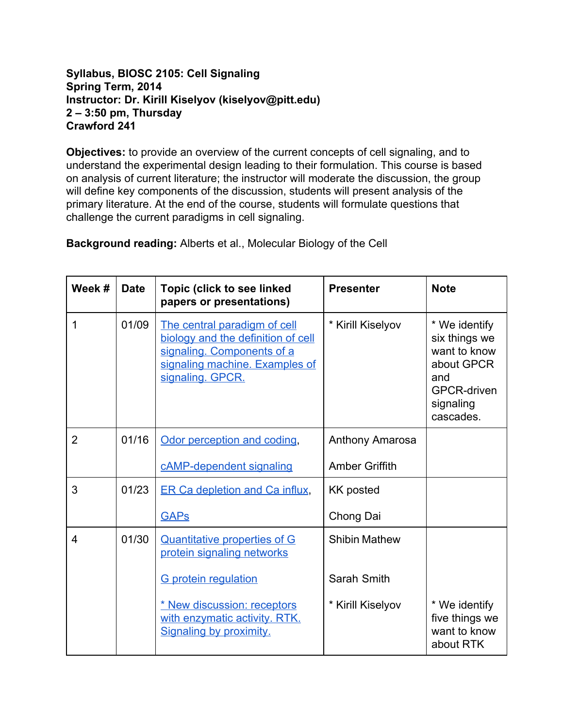## **Syllabus, BIOSC 2105: Cell Signaling Spring Term, 2014 Instructor: Dr. Kirill Kiselyov (kiselyov@pitt.edu) 2 – 3:50 pm, Thursday Crawford 241**

**Objectives:** to provide an overview of the current concepts of cell signaling, and to understand the experimental design leading to their formulation. This course is based on analysis of current literature; the instructor will moderate the discussion, the group will define key components of the discussion, students will present analysis of the primary literature. At the end of the course, students will formulate questions that challenge the current paradigms in cell signaling.

**Background reading:**Alberts et al., Molecular Biology of the Cell

| Week #         | <b>Date</b> | <b>Topic (click to see linked</b><br>papers or presentations)                                                                                          | <b>Presenter</b>      | <b>Note</b>                                                                                                         |
|----------------|-------------|--------------------------------------------------------------------------------------------------------------------------------------------------------|-----------------------|---------------------------------------------------------------------------------------------------------------------|
| 1              | 01/09       | The central paradigm of cell<br>biology and the definition of cell<br>signaling. Components of a<br>signaling machine. Examples of<br>signaling. GPCR. | * Kirill Kiselyov     | * We identify<br>six things we<br>want to know<br>about GPCR<br>and<br><b>GPCR-driven</b><br>signaling<br>cascades. |
| $\overline{2}$ | 01/16       | Odor perception and coding,                                                                                                                            | Anthony Amarosa       |                                                                                                                     |
|                |             | cAMP-dependent signaling                                                                                                                               | <b>Amber Griffith</b> |                                                                                                                     |
| 3              | 01/23       | <b>ER Ca depletion and Ca influx,</b>                                                                                                                  | <b>KK posted</b>      |                                                                                                                     |
|                |             | <b>GAPs</b>                                                                                                                                            | Chong Dai             |                                                                                                                     |
| $\overline{4}$ | 01/30       | <b>Quantitative properties of G</b><br>protein signaling networks                                                                                      | <b>Shibin Mathew</b>  |                                                                                                                     |
|                |             | <b>G</b> protein regulation                                                                                                                            | Sarah Smith           |                                                                                                                     |
|                |             | * New discussion: receptors<br>with enzymatic activity. RTK.<br>Signaling by proximity.                                                                | * Kirill Kiselyov     | * We identify<br>five things we<br>want to know<br>about RTK                                                        |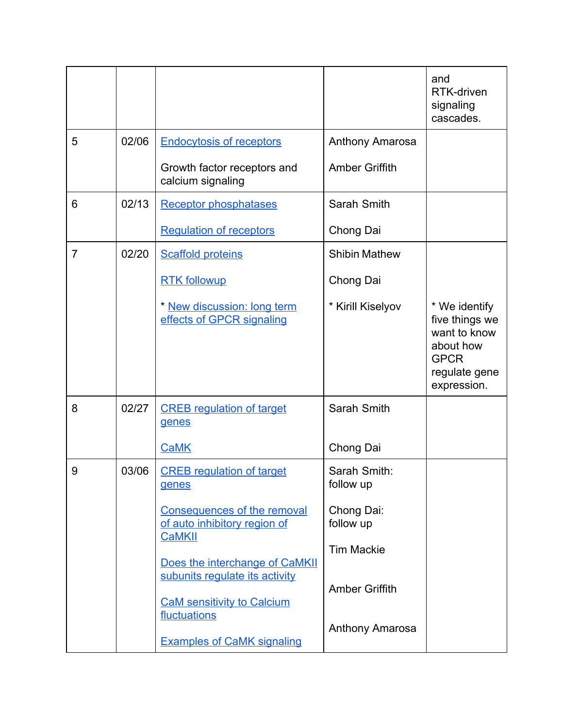|                |       |                                                                                                                       |                                          | and<br>RTK-driven<br>signaling<br>cascades.                                                                 |
|----------------|-------|-----------------------------------------------------------------------------------------------------------------------|------------------------------------------|-------------------------------------------------------------------------------------------------------------|
| 5              | 02/06 | <b>Endocytosis of receptors</b>                                                                                       | <b>Anthony Amarosa</b>                   |                                                                                                             |
|                |       | Growth factor receptors and<br>calcium signaling                                                                      | <b>Amber Griffith</b>                    |                                                                                                             |
| 6              | 02/13 | <b>Receptor phosphatases</b>                                                                                          | Sarah Smith                              |                                                                                                             |
|                |       | <b>Regulation of receptors</b>                                                                                        | Chong Dai                                |                                                                                                             |
| $\overline{7}$ | 02/20 | <b>Scaffold proteins</b>                                                                                              | <b>Shibin Mathew</b>                     |                                                                                                             |
|                |       | <b>RTK followup</b>                                                                                                   | Chong Dai                                |                                                                                                             |
|                |       | * New discussion: long term<br>effects of GPCR signaling                                                              | * Kirill Kiselyov                        | * We identify<br>five things we<br>want to know<br>about how<br><b>GPCR</b><br>regulate gene<br>expression. |
| 8              | 02/27 | <b>CREB</b> regulation of target<br>genes                                                                             | Sarah Smith                              |                                                                                                             |
|                |       | <b>CaMK</b>                                                                                                           | Chong Dai                                |                                                                                                             |
| 9              | 03/06 | <b>CREB regulation of target</b><br>genes                                                                             | Sarah Smith:<br>follow up                |                                                                                                             |
|                |       | <b>Consequences of the removal</b><br>of auto inhibitory region of                                                    | Chong Dai:<br>follow up                  |                                                                                                             |
|                |       | <b>CaMKII</b>                                                                                                         | <b>Tim Mackie</b>                        |                                                                                                             |
|                |       | Does the interchange of CaMKII<br>subunits regulate its activity<br><b>CaM sensitivity to Calcium</b><br>fluctuations | <b>Amber Griffith</b><br>Anthony Amarosa |                                                                                                             |
|                |       | <b>Examples of CaMK signaling</b>                                                                                     |                                          |                                                                                                             |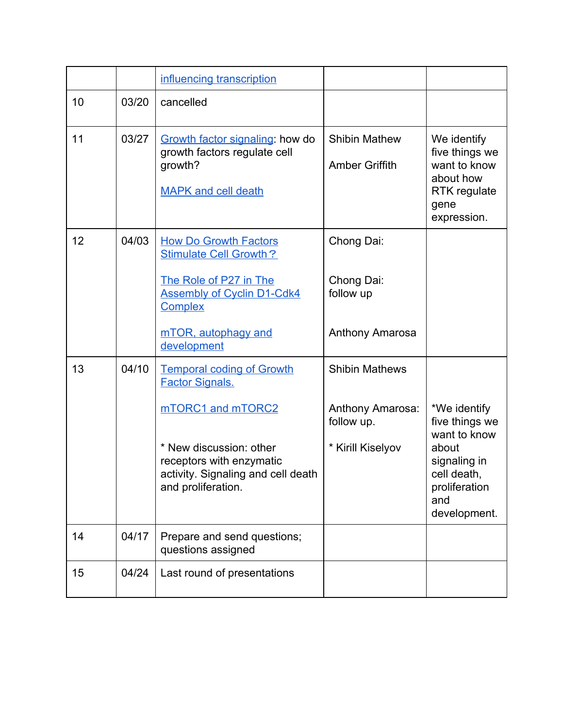|    |       | influencing transcription                                                                                                            |                                                     |                                                                                                                |
|----|-------|--------------------------------------------------------------------------------------------------------------------------------------|-----------------------------------------------------|----------------------------------------------------------------------------------------------------------------|
| 10 | 03/20 | cancelled                                                                                                                            |                                                     |                                                                                                                |
| 11 | 03/27 | Growth factor signaling: how do<br>growth factors regulate cell<br>growth?<br><b>MAPK and cell death</b>                             | <b>Shibin Mathew</b><br><b>Amber Griffith</b>       | We identify<br>five things we<br>want to know<br>about how<br>RTK regulate<br>gene<br>expression.              |
| 12 | 04/03 | <b>How Do Growth Factors</b><br><b>Stimulate Cell Growth?</b><br>The Role of P27 in The                                              | Chong Dai:<br>Chong Dai:<br>follow up               |                                                                                                                |
|    |       | <b>Assembly of Cyclin D1-Cdk4</b><br><b>Complex</b><br>mTOR, autophagy and<br>development                                            | <b>Anthony Amarosa</b>                              |                                                                                                                |
| 13 | 04/10 | <b>Temporal coding of Growth</b><br><b>Factor Signals.</b>                                                                           | <b>Shibin Mathews</b>                               |                                                                                                                |
|    |       | mTORC1 and mTORC2<br>* New discussion: other<br>receptors with enzymatic<br>activity. Signaling and cell death<br>and proliferation. | Anthony Amarosa:<br>follow up.<br>* Kirill Kiselyov | *We identify<br>five things we<br>want to know<br>about<br>signaling in<br>cell death,<br>proliferation<br>and |
| 14 | 04/17 | Prepare and send questions;                                                                                                          |                                                     | development.                                                                                                   |
| 15 | 04/24 | questions assigned                                                                                                                   |                                                     |                                                                                                                |
|    |       | Last round of presentations                                                                                                          |                                                     |                                                                                                                |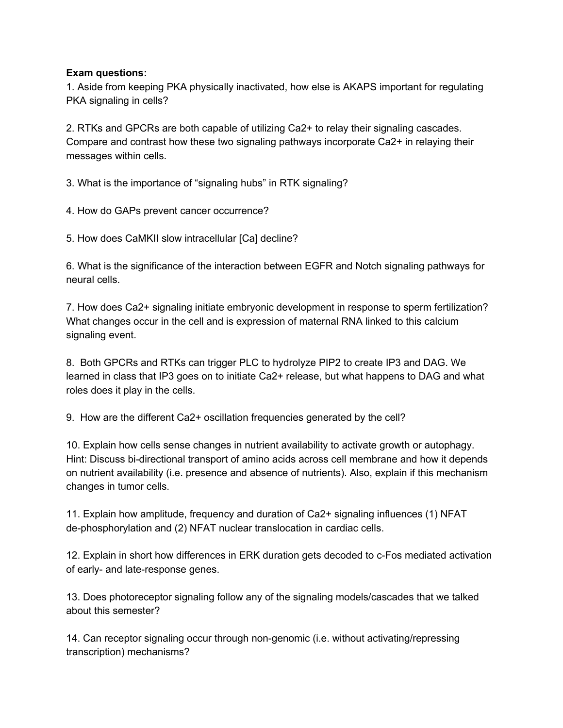## **Exam questions:**

1. Aside from keeping PKA physically inactivated, how else is AKAPS important for regulating PKA signaling in cells?

2. RTKs and GPCRs are both capable of utilizing Ca2+ to relay their signaling cascades. Compare and contrast how these two signaling pathways incorporate Ca2+ in relaying their messages within cells.

3. What is the importance of "signaling hubs" in RTK signaling?

4. How do GAPs prevent cancer occurrence?

5. How does CaMKII slow intracellular [Ca] decline?

6. What is the significance of the interaction between EGFR and Notch signaling pathways for neural cells.

7. How does Ca2+ signaling initiate embryonic development in response to sperm fertilization? What changes occur in the cell and is expression of maternal RNA linked to this calcium signaling event.

8. Both GPCRs and RTKs can trigger PLC to hydrolyze PIP2 to create IP3 and DAG. We learned in class that IP3 goes on to initiate Ca2+ release, but what happens to DAG and what roles does it play in the cells.

9. How are the different Ca2+ oscillation frequencies generated by the cell?

10. Explain how cells sense changes in nutrient availability to activate growth or autophagy. Hint: Discuss bi-directional transport of amino acids across cell membrane and how it depends on nutrient availability (i.e. presence and absence of nutrients). Also, explain if this mechanism changes in tumor cells.

11. Explain how amplitude, frequency and duration of Ca2+ signaling influences (1) NFAT de-phosphorylation and (2) NFAT nuclear translocation in cardiac cells.

12. Explain in short how differences in ERK duration gets decoded to c-Fos mediated activation of early- and late-response genes.

13. Does photoreceptor signaling follow any of the signaling models/cascades that we talked about this semester?

14. Can receptor signaling occur through nongenomic (i.e. without activating/repressing transcription) mechanisms?